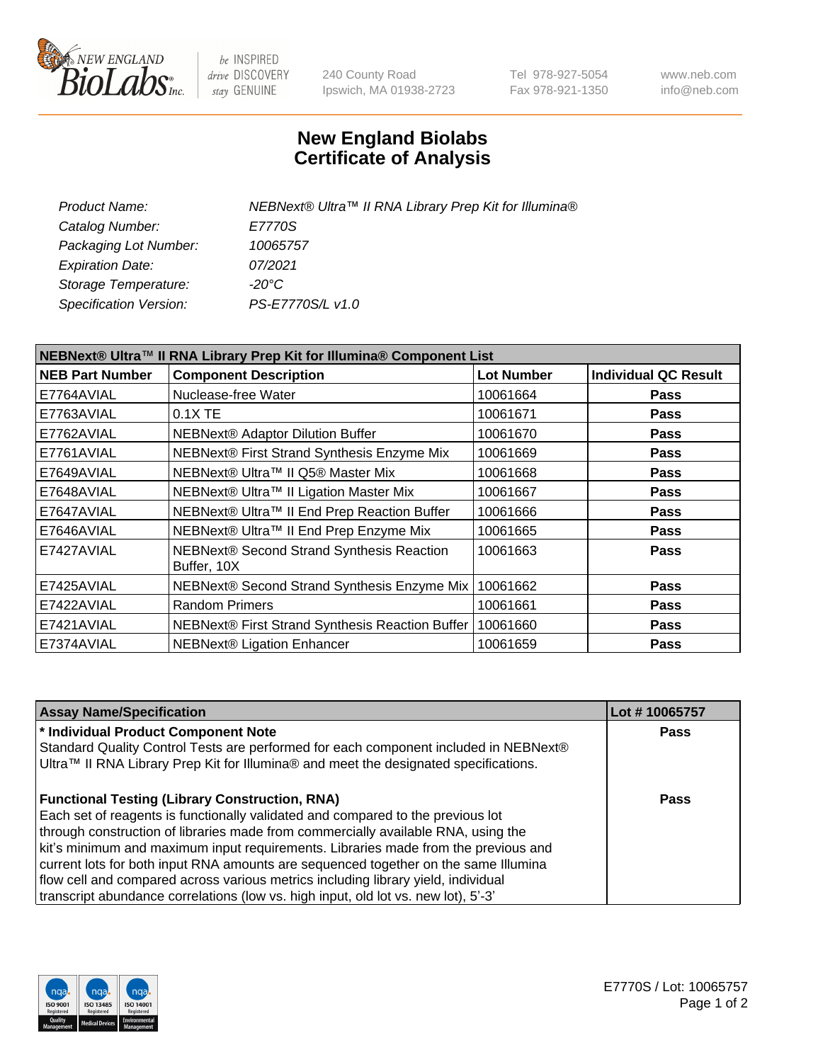

be INSPIRED drive DISCOVERY stay GENUINE

240 County Road Ipswich, MA 01938-2723 Tel 978-927-5054 Fax 978-921-1350 www.neb.com info@neb.com

## **New England Biolabs Certificate of Analysis**

| NEBNext® Ultra™ II RNA Library Prep Kit for Illumina® |
|-------------------------------------------------------|
| E7770S                                                |
| 10065757                                              |
| 07/2021                                               |
| -20°C                                                 |
| PS-E7770S/L v1.0                                      |
|                                                       |

| NEBNext® Ultra™ II RNA Library Prep Kit for Illumina® Component List |                                                            |                   |                             |  |
|----------------------------------------------------------------------|------------------------------------------------------------|-------------------|-----------------------------|--|
| <b>NEB Part Number</b>                                               | <b>Component Description</b>                               | <b>Lot Number</b> | <b>Individual QC Result</b> |  |
| E7764AVIAL                                                           | Nuclease-free Water                                        | 10061664          | <b>Pass</b>                 |  |
| E7763AVIAL                                                           | $0.1X$ TE                                                  | 10061671          | <b>Pass</b>                 |  |
| E7762AVIAL                                                           | <b>NEBNext® Adaptor Dilution Buffer</b>                    | 10061670          | <b>Pass</b>                 |  |
| E7761AVIAL                                                           | NEBNext® First Strand Synthesis Enzyme Mix                 | 10061669          | <b>Pass</b>                 |  |
| E7649AVIAL                                                           | NEBNext® Ultra™ II Q5® Master Mix                          | 10061668          | <b>Pass</b>                 |  |
| E7648AVIAL                                                           | NEBNext® Ultra™ II Ligation Master Mix                     | 10061667          | <b>Pass</b>                 |  |
| E7647AVIAL                                                           | NEBNext® Ultra™ II End Prep Reaction Buffer                | 10061666          | <b>Pass</b>                 |  |
| E7646AVIAL                                                           | NEBNext® Ultra™ II End Prep Enzyme Mix                     | 10061665          | <b>Pass</b>                 |  |
| E7427AVIAL                                                           | NEBNext® Second Strand Synthesis Reaction<br>Buffer, 10X   | 10061663          | <b>Pass</b>                 |  |
| E7425AVIAL                                                           | NEBNext® Second Strand Synthesis Enzyme Mix                | 10061662          | <b>Pass</b>                 |  |
| E7422AVIAL                                                           | <b>Random Primers</b>                                      | 10061661          | <b>Pass</b>                 |  |
| E7421AVIAL                                                           | NEBNext® First Strand Synthesis Reaction Buffer   10061660 |                   | <b>Pass</b>                 |  |
| E7374AVIAL                                                           | NEBNext® Ligation Enhancer                                 | 10061659          | <b>Pass</b>                 |  |

| <b>Assay Name/Specification</b>                                                                                                                                                                                                                                                                                                                                                                                                                                                                                                                                                       | Lot #10065757 |
|---------------------------------------------------------------------------------------------------------------------------------------------------------------------------------------------------------------------------------------------------------------------------------------------------------------------------------------------------------------------------------------------------------------------------------------------------------------------------------------------------------------------------------------------------------------------------------------|---------------|
| * Individual Product Component Note<br>Standard Quality Control Tests are performed for each component included in NEBNext®<br>Ultra™ II RNA Library Prep Kit for Illumina® and meet the designated specifications.                                                                                                                                                                                                                                                                                                                                                                   | <b>Pass</b>   |
| <b>Functional Testing (Library Construction, RNA)</b><br>Each set of reagents is functionally validated and compared to the previous lot<br>through construction of libraries made from commercially available RNA, using the<br>kit's minimum and maximum input requirements. Libraries made from the previous and<br>current lots for both input RNA amounts are sequenced together on the same Illumina<br>flow cell and compared across various metrics including library yield, individual<br>transcript abundance correlations (low vs. high input, old lot vs. new lot), 5'-3' | Pass          |